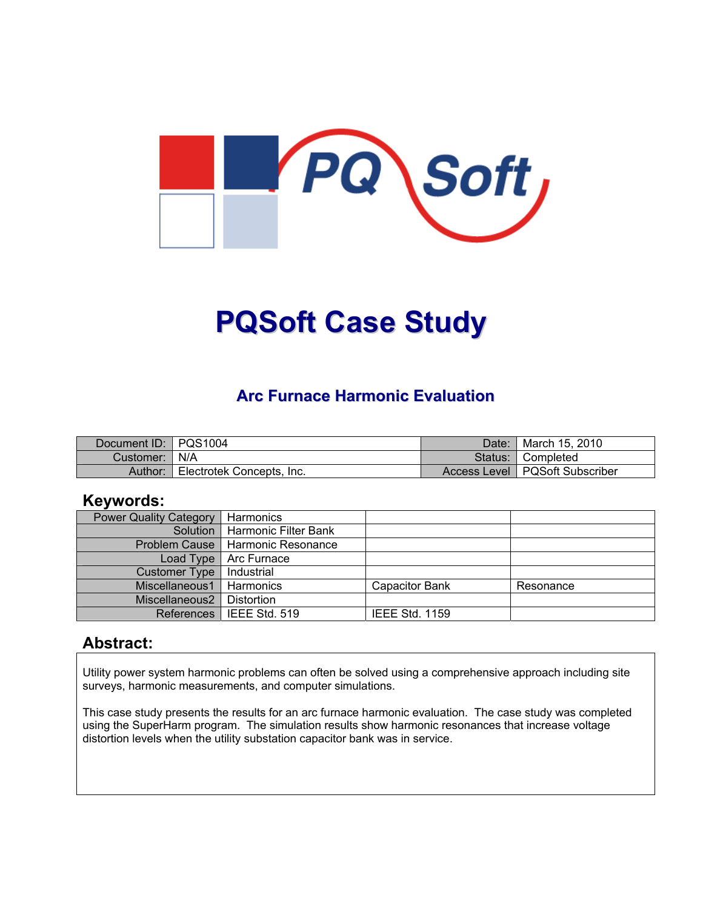

# **PQSoft Case Study**

### **Arc Furnace Harmonic Evaluation**

| Document ID: PQS1004 |                           | Date:     | <sup>¶</sup> March 15, 2010      |
|----------------------|---------------------------|-----------|----------------------------------|
| Customer:   N/A      |                           | Status: I | ■ Completed                      |
| Author:              | Electrotek Concepts, Inc. |           | Access Level   PQSoft Subscriber |

#### **Keywords:**

| <b>Power Quality Category</b> | Harmonics            |                       |           |
|-------------------------------|----------------------|-----------------------|-----------|
| Solution                      | Harmonic Filter Bank |                       |           |
| <b>Problem Cause</b>          | Harmonic Resonance   |                       |           |
| Load Type                     | Arc Furnace          |                       |           |
| <b>Customer Type</b>          | Industrial           |                       |           |
| Miscellaneous1                | Harmonics            | <b>Capacitor Bank</b> | Resonance |
| Miscellaneous2                | Distortion           |                       |           |
| <b>References</b>             | IEEE Std. 519        | <b>IEEE Std. 1159</b> |           |

#### **Abstract:**

Utility power system harmonic problems can often be solved using a comprehensive approach including site surveys, harmonic measurements, and computer simulations.

This case study presents the results for an arc furnace harmonic evaluation. The case study was completed using the SuperHarm program. The simulation results show harmonic resonances that increase voltage distortion levels when the utility substation capacitor bank was in service.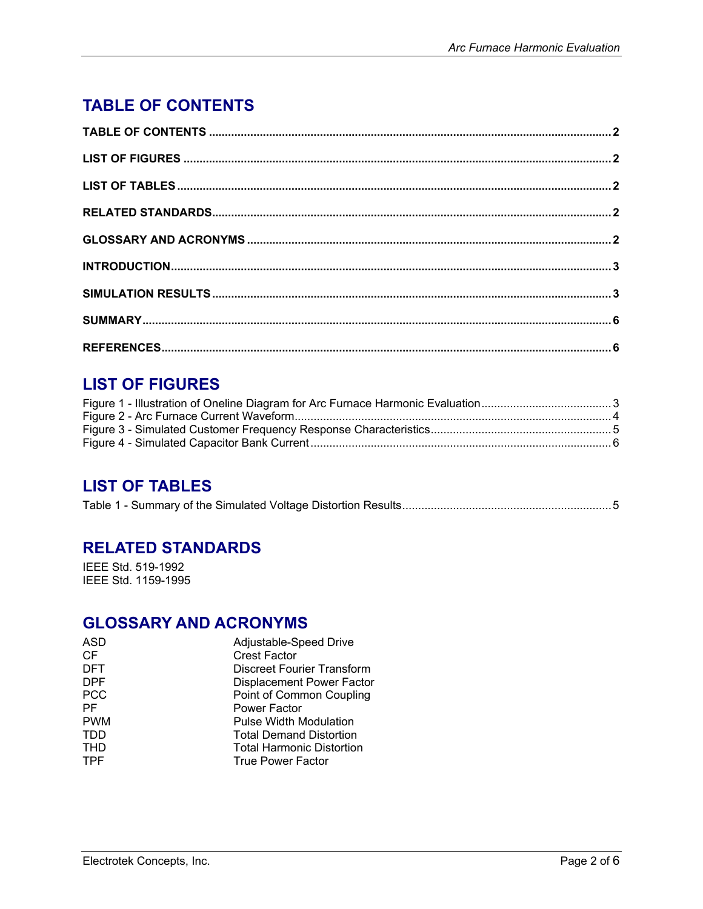# <span id="page-1-0"></span>**TABLE OF CONTENTS**

## **LIST OF FIGURES**

## **LIST OF TABLES**

|--|--|--|--|--|--|

## **RELATED STANDARDS**

IEEE Std. 519-1992 IEEE Std. 1159-1995

#### **GLOSSARY AND ACRONYMS**

| ASD        | Adjustable-Speed Drive            |
|------------|-----------------------------------|
| <b>CF</b>  | <b>Crest Factor</b>               |
| <b>DFT</b> | <b>Discreet Fourier Transform</b> |
| <b>DPF</b> | <b>Displacement Power Factor</b>  |
| <b>PCC</b> | Point of Common Coupling          |
| PF         | <b>Power Factor</b>               |
| <b>PWM</b> | <b>Pulse Width Modulation</b>     |
| TDD        | <b>Total Demand Distortion</b>    |
| THD        | <b>Total Harmonic Distortion</b>  |
| <b>TPF</b> | <b>True Power Factor</b>          |
|            |                                   |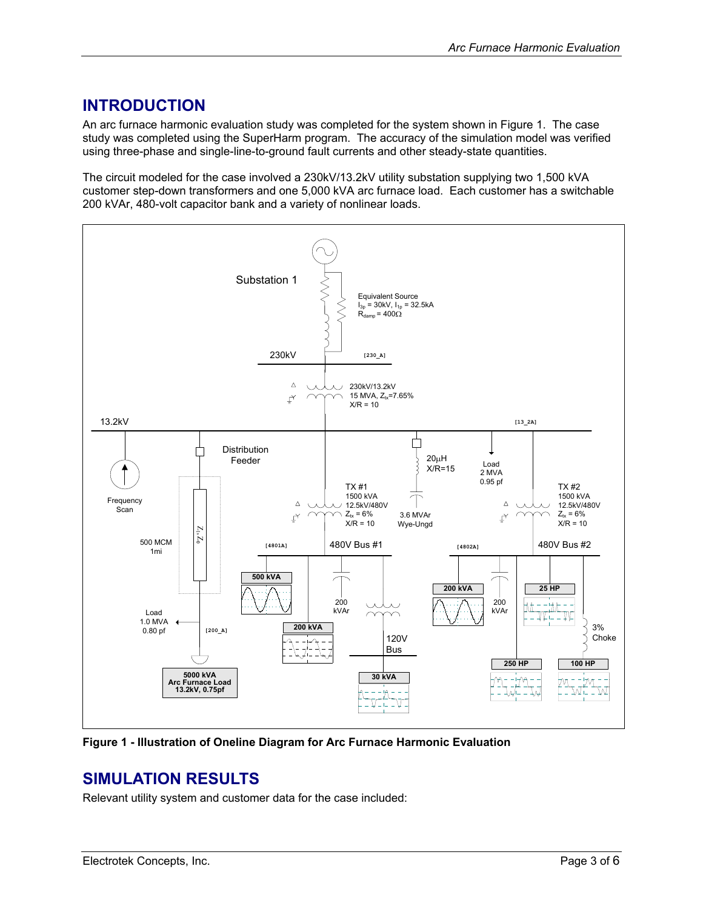#### <span id="page-2-0"></span>**INTRODUCTION**

An arc furnace harmonic evaluation study was completed for the system shown in [Figure 1.](#page-2-1) The case study was completed using the SuperHarm program. The accuracy of the simulation model was verified using three-phase and single-line-to-ground fault currents and other steady-state quantities.

The circuit modeled for the case involved a 230kV/13.2kV utility substation supplying two 1,500 kVA customer step-down transformers and one 5,000 kVA arc furnace load. Each customer has a switchable 200 kVAr, 480-volt capacitor bank and a variety of nonlinear loads.

<span id="page-2-1"></span>

**Figure 1 - Illustration of Oneline Diagram for Arc Furnace Harmonic Evaluation** 

#### **SIMULATION RESULTS**

Relevant utility system and customer data for the case included: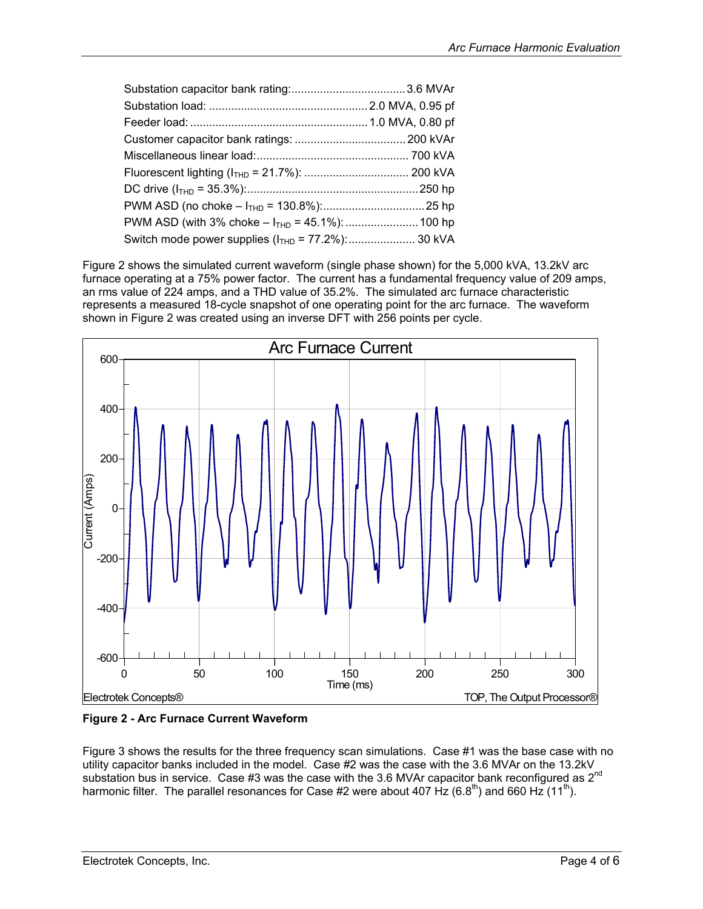<span id="page-3-0"></span>

[Figure 2](#page-3-1) shows the simulated current waveform (single phase shown) for the 5,000 kVA, 13.2kV arc furnace operating at a 75% power factor. The current has a fundamental frequency value of 209 amps, an rms value of 224 amps, and a THD value of 35.2%. The simulated arc furnace characteristic represents a measured 18-cycle snapshot of one operating point for the arc furnace. The waveform shown in [Figure 2](#page-3-1) was created using an inverse DFT with 256 points per cycle.

<span id="page-3-1"></span>

**Figure 2 - Arc Furnace Current Waveform** 

[Figure 3](#page-4-1) shows the results for the three frequency scan simulations. Case #1 was the base case with no utility capacitor banks included in the model. Case #2 was the case with the 3.6 MVAr on the 13.2kV substation bus in service. Case #3 was the case with the 3.6 MVAr capacitor bank reconfigured as 2<sup>nd</sup> harmonic filter. The parallel resonances for Case #2 were about 407 Hz (6.8<sup>th</sup>) and 660 Hz (11<sup>th</sup>).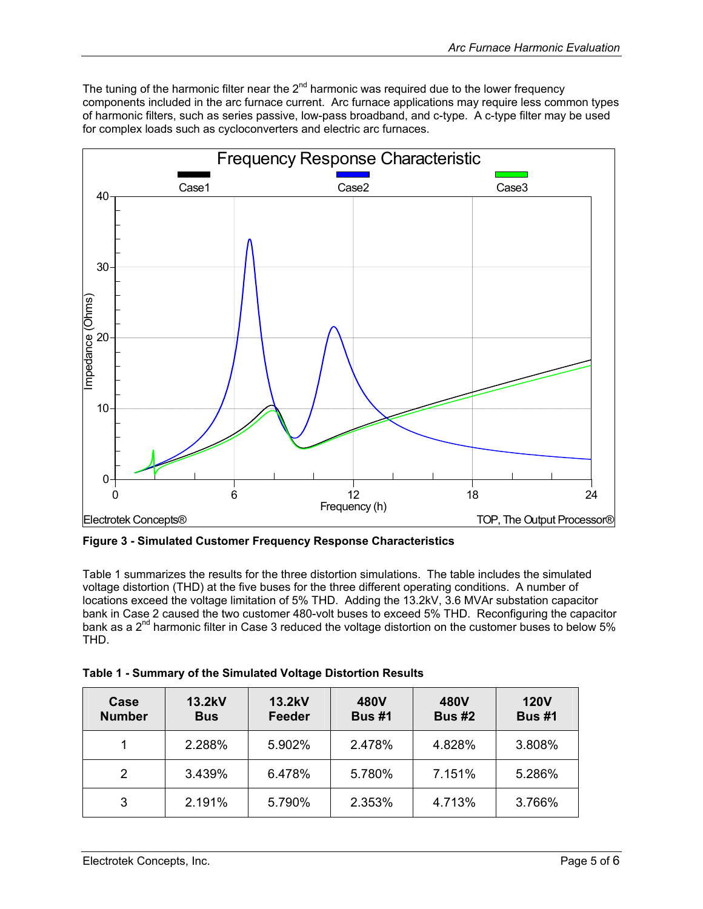<span id="page-4-0"></span>The tuning of the harmonic filter near the  $2^{nd}$  harmonic was required due to the lower frequency components included in the arc furnace current. Arc furnace applications may require less common types of harmonic filters, such as series passive, low-pass broadband, and c-type. A c-type filter may be used for complex loads such as cycloconverters and electric arc furnaces.

<span id="page-4-1"></span>

**Figure 3 - Simulated Customer Frequency Response Characteristics** 

[Table 1](#page-4-2) summarizes the results for the three distortion simulations. The table includes the simulated voltage distortion (THD) at the five buses for the three different operating conditions. A number of locations exceed the voltage limitation of 5% THD. Adding the 13.2kV, 3.6 MVAr substation capacitor bank in Case 2 caused the two customer 480-volt buses to exceed 5% THD. Reconfiguring the capacitor bank as a 2<sup>nd</sup> harmonic filter in Case 3 reduced the voltage distortion on the customer buses to below 5% THD.

<span id="page-4-2"></span>

| Table 1 - Summary of the Simulated Voltage Distortion Results |
|---------------------------------------------------------------|
|                                                               |

| Case<br><b>Number</b> | 13.2kV<br><b>Bus</b> | 13.2kV<br>Feeder | 480V<br><b>Bus #1</b> | <b>480V</b><br><b>Bus #2</b> | <b>120V</b><br><b>Bus #1</b> |
|-----------------------|----------------------|------------------|-----------------------|------------------------------|------------------------------|
|                       | 2.288%               | 5.902%           | 2.478%                | 4.828%                       | 3.808%                       |
| 2                     | 3.439%               | 6.478%           | 5.780%                | 7.151%                       | 5.286%                       |
| 3                     | 2.191%               | 5.790%           | 2.353%                | 4.713%                       | 3.766%                       |